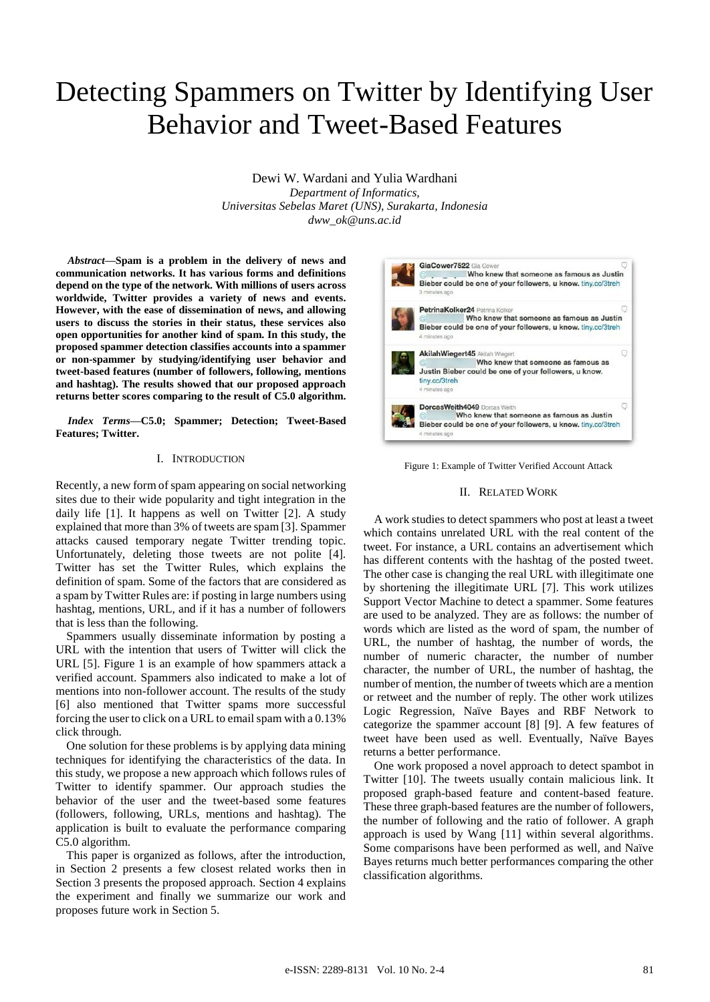# Detecting Spammers on Twitter by Identifying User Behavior and Tweet-Based Features

Dewi W. Wardani and Yulia Wardhani *Department of Informatics, Universitas Sebelas Maret (UNS), Surakarta, Indonesia* 

*dww\_ok@uns.ac.id*

*Abstract***—Spam is a problem in the delivery of news and communication networks. It has various forms and definitions depend on the type of the network. With millions of users across worldwide, Twitter provides a variety of news and events. However, with the ease of dissemination of news, and allowing users to discuss the stories in their status, these services also open opportunities for another kind of spam. In this study, the proposed spammer detection classifies accounts into a spammer or non-spammer by studying/identifying user behavior and tweet-based features (number of followers, following, mentions and hashtag). The results showed that our proposed approach returns better scores comparing to the result of C5.0 algorithm.**

*Index Terms***—C5.0; Spammer; Detection; Tweet-Based Features; Twitter.**

# I. INTRODUCTION

Recently, a new form of spam appearing on social networking sites due to their wide popularity and tight integration in the daily life [1]. It happens as well on Twitter [2]. A study explained that more than 3% of tweets are spam [3]. Spammer attacks caused temporary negate Twitter trending topic. Unfortunately, deleting those tweets are not polite [4]. Twitter has set the Twitter Rules, which explains the definition of spam. Some of the factors that are considered as a spam by Twitter Rules are: if posting in large numbers using hashtag, mentions, URL, and if it has a number of followers that is less than the following.

Spammers usually disseminate information by posting a URL with the intention that users of Twitter will click the URL [5]. Figure 1 is an example of how spammers attack a verified account. Spammers also indicated to make a lot of mentions into non-follower account. The results of the study [6] also mentioned that Twitter spams more successful forcing the user to click on a URL to email spam with a 0.13% click through.

One solution for these problems is by applying data mining techniques for identifying the characteristics of the data. In this study, we propose a new approach which follows rules of Twitter to identify spammer. Our approach studies the behavior of the user and the tweet-based some features (followers, following, URLs, mentions and hashtag). The application is built to evaluate the performance comparing C5.0 algorithm.

This paper is organized as follows, after the introduction, in Section 2 presents a few closest related works then in Section 3 presents the proposed approach. Section 4 explains the experiment and finally we summarize our work and proposes future work in Section 5.



Figure 1: Example of Twitter Verified Account Attack

## II. RELATED WORK

A work studies to detect spammers who post at least a tweet which contains unrelated URL with the real content of the tweet. For instance, a URL contains an advertisement which has different contents with the hashtag of the posted tweet. The other case is changing the real URL with illegitimate one by shortening the illegitimate URL [7]. This work utilizes Support Vector Machine to detect a spammer. Some features are used to be analyzed. They are as follows: the number of words which are listed as the word of spam, the number of URL, the number of hashtag, the number of words, the number of numeric character, the number of number character, the number of URL, the number of hashtag, the number of mention, the number of tweets which are a mention or retweet and the number of reply. The other work utilizes Logic Regression, Naïve Bayes and RBF Network to categorize the spammer account [8] [9]. A few features of tweet have been used as well. Eventually, Naïve Bayes returns a better performance.

One work proposed a novel approach to detect spambot in Twitter [10]. The tweets usually contain malicious link. It proposed graph-based feature and content-based feature. These three graph-based features are the number of followers, the number of following and the ratio of follower. A graph approach is used by Wang [11] within several algorithms. Some comparisons have been performed as well, and Naïve Bayes returns much better performances comparing the other classification algorithms.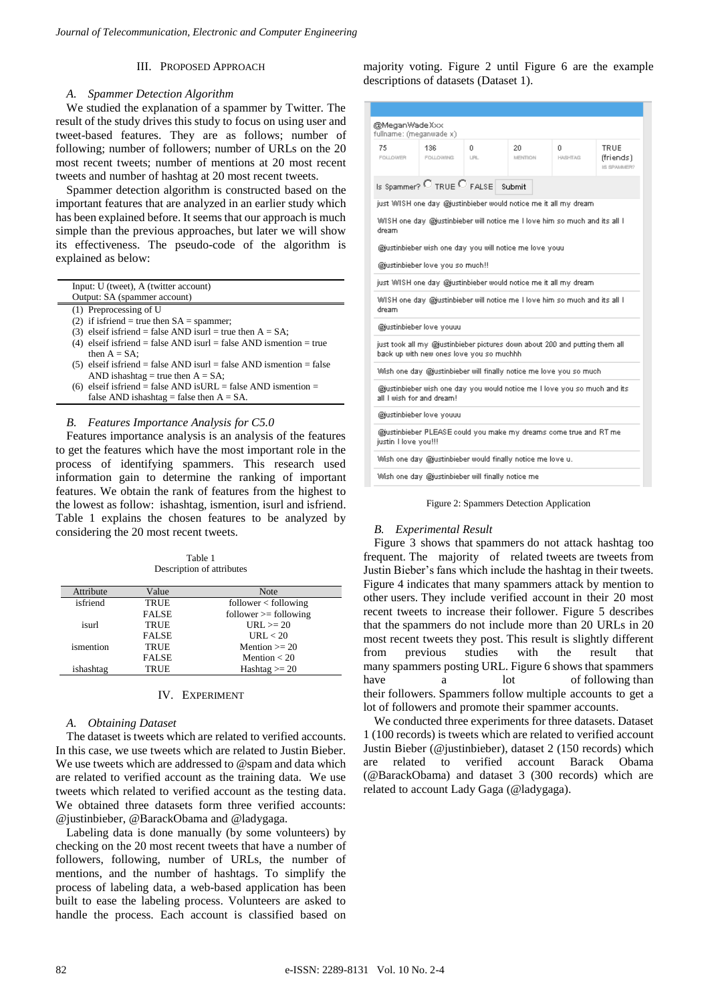# III. PROPOSED APPROACH

## *A. Spammer Detection Algorithm*

We studied the explanation of a spammer by Twitter. The result of the study drives this study to focus on using user and tweet-based features. They are as follows; number of following; number of followers; number of URLs on the 20 most recent tweets; number of mentions at 20 most recent tweets and number of hashtag at 20 most recent tweets.

Spammer detection algorithm is constructed based on the important features that are analyzed in an earlier study which has been explained before. It seems that our approach is much simple than the previous approaches, but later we will show its effectiveness. The pseudo-code of the algorithm is explained as below:

| Input: U (tweet), A (twitter account)                                 |
|-----------------------------------------------------------------------|
| Output: SA (spammer account)                                          |
| (1) Preprocessing of U                                                |
| (2) if is friend = true then $SA =$ spammer;                          |
| (3) elseif isfriend = false AND isurl = true then $A = SA$ ;          |
| (4) elseif isfriend = false AND is url = false AND is mention = true  |
| then $A = SA$ :                                                       |
| $(5)$ elseif isfriend = false AND isurl = false AND ismention = false |
| AND is hashtag = true then $A = SA$ ;                                 |

(6) elseif isfriend = false AND isURL = false AND ismention = false AND ishashtag = false then  $A = SA$ .

# *B. Features Importance Analysis for C5.0*

Features importance analysis is an analysis of the features to get the features which have the most important role in the process of identifying spammers. This research used information gain to determine the ranking of important features. We obtain the rank of features from the highest to the lowest as follow: ishashtag, ismention, isurl and isfriend. Table 1 explains the chosen features to be analyzed by considering the 20 most recent tweets.

Table 1 Description of attributes

| Attribute | Value        | <b>Note</b>             |
|-----------|--------------|-------------------------|
| isfriend  | TRUE         | follower < following    |
|           | <b>FALSE</b> | $follower >= following$ |
| isurl     | TRUE         | $URL \ge 20$            |
|           | <b>FALSE</b> | URL < 20                |
| ismention | TRUE         | Mention $\geq$ 20       |
|           | <b>FALSE</b> | Mention $<$ 20          |
| ishashtag | <b>TRUE</b>  | Hashtag $>= 20$         |
|           |              |                         |

# IV. EXPERIMENT

## *A. Obtaining Dataset*

The dataset is tweets which are related to verified accounts. In this case, we use tweets which are related to Justin Bieber. We use tweets which are addressed to @spam and data which are related to verified account as the training data. We use tweets which related to verified account as the testing data. We obtained three datasets form three verified accounts: @justinbieber, @BarackObama and @ladygaga.

Labeling data is done manually (by some volunteers) by checking on the 20 most recent tweets that have a number of followers, following, number of URLs, the number of mentions, and the number of hashtags. To simplify the process of labeling data, a web-based application has been built to ease the labeling process. Volunteers are asked to handle the process. Each account is classified based on

majority voting. Figure 2 until Figure 6 are the example descriptions of datasets (Dataset 1).

| @MeganWadeXxx<br>fullname: (meganwade x)                                                                                                                                            |                                                                    |           |                |                      |                                  |
|-------------------------------------------------------------------------------------------------------------------------------------------------------------------------------------|--------------------------------------------------------------------|-----------|----------------|----------------------|----------------------------------|
| 75<br>FOLLOWER .                                                                                                                                                                    | 136<br>FOLLOWING                                                   | 0.<br>LRL | 20.<br>MENTION | 0.<br><b>HASHTAG</b> | TRUE<br>(friends)<br>IS SPAULER? |
|                                                                                                                                                                                     | Is Spammer? $\bigcirc$ TRUE $\bigcirc$ FALSE $\bigcirc$ Submit     |           |                |                      |                                  |
|                                                                                                                                                                                     | just WISH one day @justinbieber would notice me it all my dream.   |           |                |                      |                                  |
| WISH one day. @justinbieber will notice me I love him so much and its all I<br>dream<br>@justinbieber wish one day you will notice me love youu<br>@justinbieber love you so much!! |                                                                    |           |                |                      |                                  |
|                                                                                                                                                                                     | just WISH one day @justinbieber would notice me it all my dream    |           |                |                      |                                  |
| WISH one day. @justinbieber will notice me I love him so much and its all I<br>dream.                                                                                               |                                                                    |           |                |                      |                                  |
| @justinbieber love youuu                                                                                                                                                            |                                                                    |           |                |                      |                                  |
| just took all my @justinbieber pictures down about 200 and putting them all<br>back up with new ones love you so muchhh                                                             |                                                                    |           |                |                      |                                  |
|                                                                                                                                                                                     | Wish one day @justinbieber will finally notice me love you so much |           |                |                      |                                  |
| @justinbieber wish one day you would notice me I love you so much and its<br>all Luish for and dream!                                                                               |                                                                    |           |                |                      |                                  |
| @justinbieber love youuu                                                                                                                                                            |                                                                    |           |                |                      |                                  |
| @justinbieber PLEASE could you make my dreams come true and RT me<br>justin I love you!!!                                                                                           |                                                                    |           |                |                      |                                  |
| Wish one day @justinbieber would finally notice me love u.                                                                                                                          |                                                                    |           |                |                      |                                  |
| Wish one day @justinbieber will finally notice me                                                                                                                                   |                                                                    |           |                |                      |                                  |

Figure 2: Spammers Detection Application

## *B. Experimental Result*

Figure 3 shows that spammers do not attack hashtag too frequent. The majority of related tweets are tweets from Justin Bieber's fans which include the hashtag in their tweets. Figure 4 indicates that many spammers attack by mention to other users. They include verified account in their 20 most recent tweets to increase their follower. Figure 5 describes that the spammers do not include more than 20 URLs in 20 most recent tweets they post. This result is slightly different from previous studies with the result that many spammers posting URL. Figure 6 shows that spammers have a lot of following than their followers. Spammers follow multiple accounts to get a lot of followers and promote their spammer accounts.

We conducted three experiments for three datasets. Dataset 1 (100 records) is tweets which are related to verified account Justin Bieber (@justinbieber), dataset 2 (150 records) which are related to verified account Barack Obama (@BarackObama) and dataset 3 (300 records) which are related to account Lady Gaga (@ladygaga).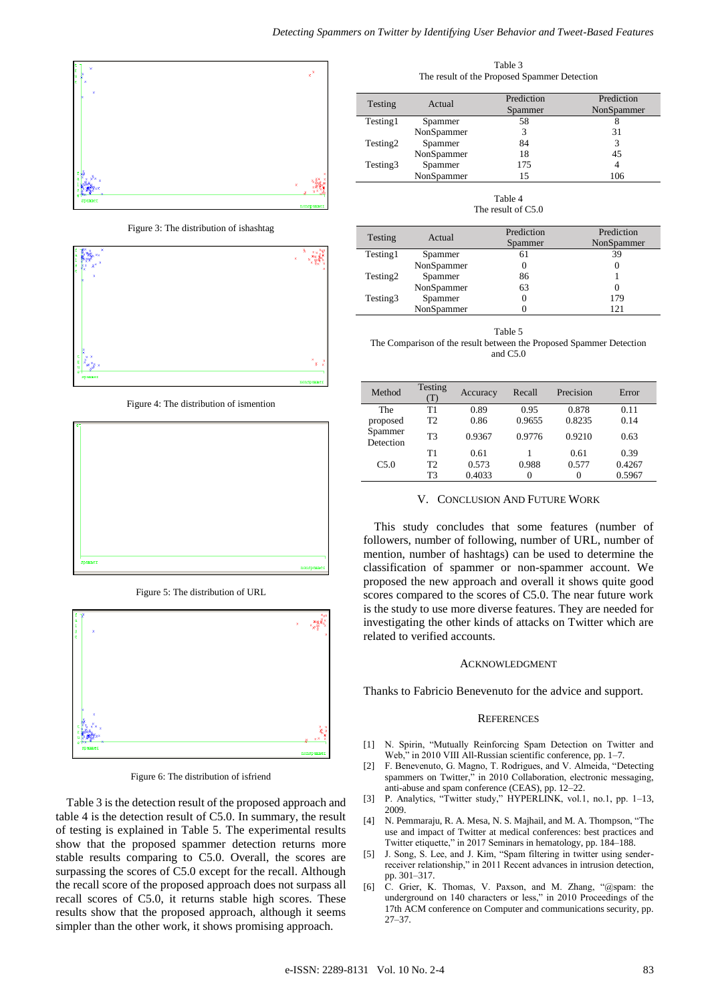

Figure 3: The distribution of ishashtag



Figure 4: The distribution of ismention



Figure 5: The distribution of URL



Figure 6: The distribution of isfriend

Table 3 is the detection result of the proposed approach and table 4 is the detection result of C5.0. In summary, the result of testing is explained in Table 5. The experimental results show that the proposed spammer detection returns more stable results comparing to C5.0. Overall, the scores are surpassing the scores of C5.0 except for the recall. Although the recall score of the proposed approach does not surpass all recall scores of C5.0, it returns stable high scores. These results show that the proposed approach, although it seems simpler than the other work, it shows promising approach.

Table 3 The result of the Proposed Spammer Detection

| Testing              | Actual     | Prediction<br>Spammer | Prediction<br>NonSpammer |
|----------------------|------------|-----------------------|--------------------------|
| Testing1             | Spammer    | 58                    |                          |
|                      | NonSpammer |                       | 31                       |
| Testing <sub>2</sub> | Spammer    | 84                    | 3                        |
|                      | NonSpammer | 18                    | 45                       |
| Testing3             | Spammer    | 175                   |                          |
|                      | NonSpammer | 15                    | 106                      |

Table 4 The result of C5.0

| Testing  | Actual     | Prediction<br>Spammer | Prediction<br>NonSpammer |
|----------|------------|-----------------------|--------------------------|
| Testing1 | Spammer    | 61                    | 39                       |
|          | NonSpammer |                       |                          |
| Testing2 | Spammer    | 86                    |                          |
|          | NonSpammer | 63                    |                          |
| Testing3 | Spammer    |                       | 179                      |
|          | NonSpammer |                       | 121                      |

Table 5

The Comparison of the result between the Proposed Spammer Detection and C5.0

| Method               | Testing<br>(1) | Accuracy | Recall | Precision | Error  |
|----------------------|----------------|----------|--------|-----------|--------|
| The                  | Τ1             | 0.89     | 0.95   | 0.878     | 0.11   |
| proposed             | T2             | 0.86     | 0.9655 | 0.8235    | 0.14   |
| Spammer<br>Detection | T <sub>3</sub> | 0.9367   | 0.9776 | 0.9210    | 0.63   |
|                      | T1             | 0.61     |        | 0.61      | 0.39   |
| C5.0                 | T2             | 0.573    | 0.988  | 0.577     | 0.4267 |
|                      | T3             | 0.4033   | 0      |           | 0.5967 |

## V. CONCLUSION AND FUTURE WORK

This study concludes that some features (number of followers, number of following, number of URL, number of mention, number of hashtags) can be used to determine the classification of spammer or non-spammer account. We proposed the new approach and overall it shows quite good scores compared to the scores of C5.0. The near future work is the study to use more diverse features. They are needed for investigating the other kinds of attacks on Twitter which are related to verified accounts.

#### ACKNOWLEDGMENT

Thanks to Fabricio Benevenuto for the advice and support.

### **REFERENCES**

- [1] N. Spirin, "Mutually Reinforcing Spam Detection on Twitter and Web," in 2010 VIII All-Russian scientific conference, pp. 1–7.
- [2] F. Benevenuto, G. Magno, T. Rodrigues, and V. Almeida, "Detecting spammers on Twitter," in 2010 Collaboration, electronic messaging, anti-abuse and spam conference (CEAS), pp. 12–22.
- [3] P. Analytics, "Twitter study," HYPERLINK, vol.1, no.1, pp. 1-13, 2009.
- [4] N. Pemmaraju, R. A. Mesa, N. S. Majhail, and M. A. Thompson, "The use and impact of Twitter at medical conferences: best practices and Twitter etiquette," in 2017 Seminars in hematology, pp. 184–188.
- [5] J. Song, S. Lee, and J. Kim, "Spam filtering in twitter using senderreceiver relationship," in 2011 Recent advances in intrusion detection, pp. 301–317.
- [6] C. Grier, K. Thomas, V. Paxson, and M. Zhang, "@spam: the underground on 140 characters or less," in 2010 Proceedings of the 17th ACM conference on Computer and communications security, pp. 27–37.